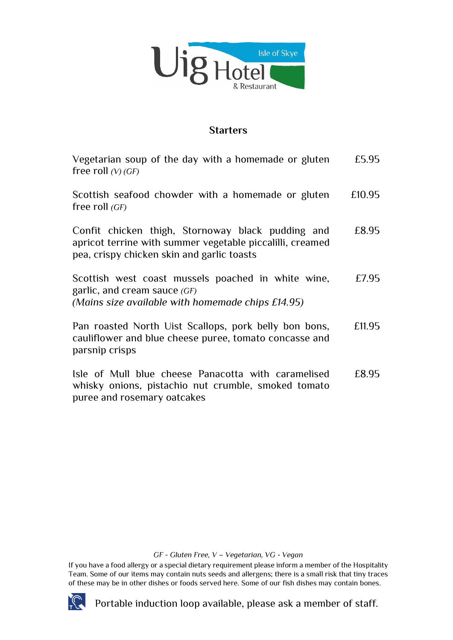

## **Starters**

| Vegetarian soup of the day with a homemade or gluten<br>free roll $(V)$ (GF)                                                                                 | £5.95  |
|--------------------------------------------------------------------------------------------------------------------------------------------------------------|--------|
| Scottish seafood chowder with a homemade or gluten<br>free roll $(GF)$                                                                                       | £10.95 |
| Confit chicken thigh, Stornoway black pudding and<br>apricot terrine with summer vegetable piccalilli, creamed<br>pea, crispy chicken skin and garlic toasts | £8.95  |
| Scottish west coast mussels poached in white wine,<br>garlic, and cream sauce $(GF)$<br>(Mains size available with homemade chips £14.95)                    | £7.95  |
| Pan roasted North Uist Scallops, pork belly bon bons,<br>cauliflower and blue cheese puree, tomato concasse and<br>parsnip crisps                            | £11.95 |
|                                                                                                                                                              |        |

Isle of Mull blue cheese Panacotta with caramelised whisky onions, pistachio nut crumble, smoked tomato puree and rosemary oatcakes £8.95

*GF - Gluten Free, V – Vegetarian, VG - Vegan*

If you have a food allergy or a special dietary requirement please inform a member of the Hospitality Team. Some of our items may contain nuts seeds and allergens; there is a small risk that tiny traces of these may be in other dishes or foods served here. Some of our fish dishes may contain bones.



Portable induction loop available, please ask a member of staff.